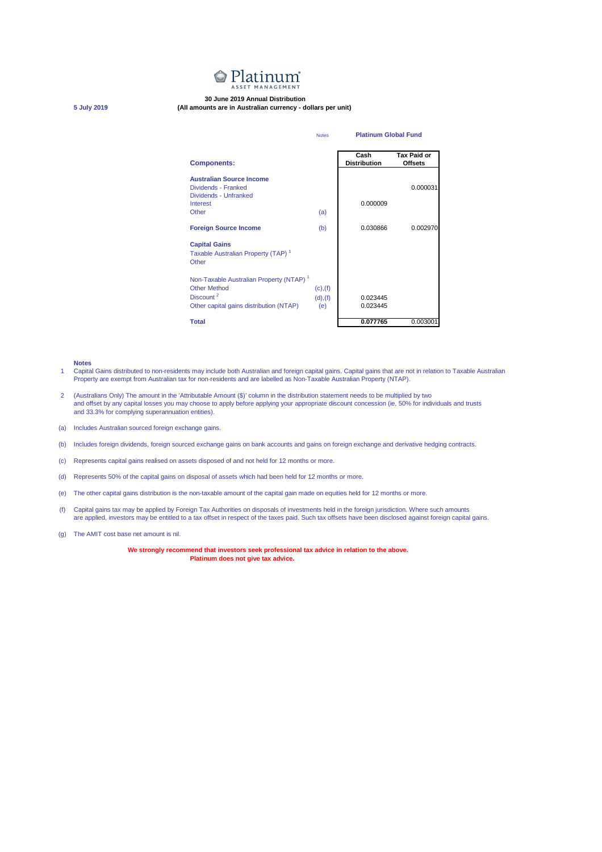

## **30 June 2019 Annual Distribution**

**5 July 2019 (All amounts are in Australian currency - dollars per unit)**

| <b>Notes</b>                                                                                                                                   |                                  | <b>Platinum Global Fund</b> |                                      |
|------------------------------------------------------------------------------------------------------------------------------------------------|----------------------------------|-----------------------------|--------------------------------------|
| <b>Components:</b>                                                                                                                             |                                  | Cash<br><b>Distribution</b> | <b>Tax Paid or</b><br><b>Offsets</b> |
| <b>Australian Source Income</b><br>Dividends - Franked<br>Dividends - Unfranked                                                                |                                  |                             | 0.000031                             |
| Interest<br>Other                                                                                                                              | (a)                              | 0.000009                    |                                      |
| <b>Foreign Source Income</b>                                                                                                                   | (b)                              | 0.030866                    | 0.002970                             |
| <b>Capital Gains</b><br>Taxable Australian Property (TAP) <sup>1</sup><br>Other                                                                |                                  |                             |                                      |
| Non-Taxable Australian Property (NTAP) <sup>1</sup><br><b>Other Method</b><br>Discount <sup>2</sup><br>Other capital gains distribution (NTAP) | $(c)$ , $(f)$<br>(d), (f)<br>(e) | 0.023445<br>0.023445        |                                      |
| <b>Total</b>                                                                                                                                   |                                  | 0.077765                    | 0.003001                             |

## **Notes**

- 1 Capital Gains distributed to non-residents may include both Australian and foreign capital gains. Capital gains that are not in relation to Taxable Australian Property are exempt from Australian tax for non-residents and are labelled as Non-Taxable Australian Property (NTAP).
- 2 (Australians Only) The amount in the 'Attributable Amount (\$)' column in the distribution statement needs to be multiplied by two and offset by any capital losses you may choose to apply before applying your appropriate discount concession (ie, 50% for individuals and trusts and 33.3% for complying superannuation entities).
- (a) Includes Australian sourced foreign exchange gains.
- (b) Includes foreign dividends, foreign sourced exchange gains on bank accounts and gains on foreign exchange and derivative hedging contracts.
- (c) Represents capital gains realised on assets disposed of and not held for 12 months or more.
- (d) Represents 50% of the capital gains on disposal of assets which had been held for 12 months or more.
- (e) The other capital gains distribution is the non-taxable amount of the capital gain made on equities held for 12 months or more.
- (f) Capital gains tax may be applied by Foreign Tax Authorities on disposals of investments held in the foreign jurisdiction. Where such amounts are applied, investors may be entitled to a tax offset in respect of the taxes paid. Such tax offsets have been disclosed against foreign capital gains.
- (g) The AMIT cost base net amount is nil.

**We strongly recommend that investors seek professional tax advice in relation to the above. Platinum does not give tax advice.**